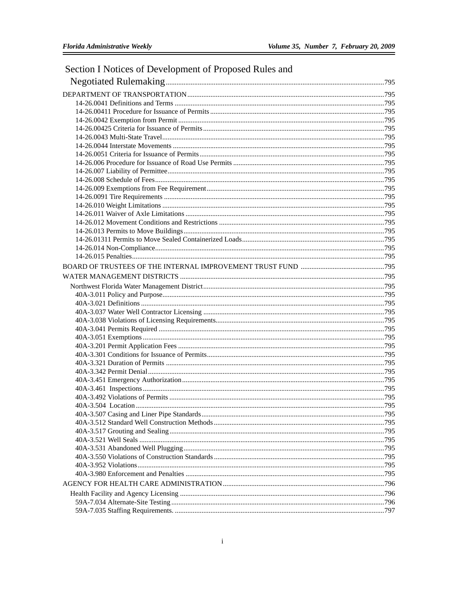| Section I Notices of Development of Proposed Rules and |  |
|--------------------------------------------------------|--|
|                                                        |  |
|                                                        |  |
|                                                        |  |
|                                                        |  |
|                                                        |  |
|                                                        |  |
|                                                        |  |
|                                                        |  |
|                                                        |  |
|                                                        |  |
|                                                        |  |
|                                                        |  |
|                                                        |  |
|                                                        |  |
|                                                        |  |
|                                                        |  |
|                                                        |  |
|                                                        |  |
|                                                        |  |
|                                                        |  |
|                                                        |  |
|                                                        |  |
|                                                        |  |
|                                                        |  |
|                                                        |  |
|                                                        |  |
|                                                        |  |
|                                                        |  |
|                                                        |  |
|                                                        |  |
|                                                        |  |
|                                                        |  |
|                                                        |  |
|                                                        |  |
|                                                        |  |
|                                                        |  |
|                                                        |  |
|                                                        |  |
|                                                        |  |
|                                                        |  |
|                                                        |  |
|                                                        |  |
|                                                        |  |
|                                                        |  |
|                                                        |  |
|                                                        |  |
|                                                        |  |
|                                                        |  |
|                                                        |  |
|                                                        |  |
|                                                        |  |

## $\,$  i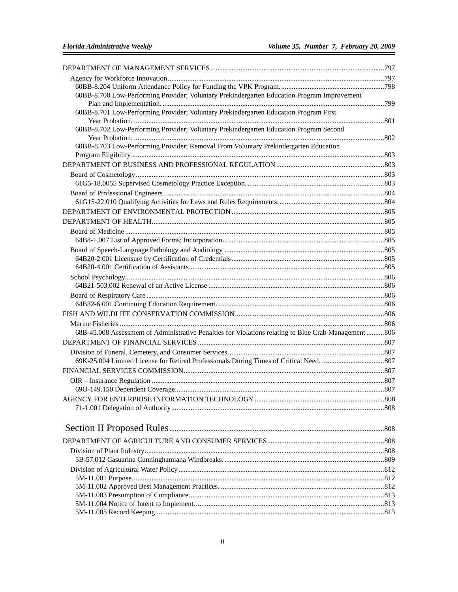| 60BB-8.700 Low-Performing Provider; Voluntary Prekindergarten Education Program Improvement           |  |
|-------------------------------------------------------------------------------------------------------|--|
| 60BB-8.701 Low-Performing Provider; Voluntary Prekindergarten Education Program First                 |  |
|                                                                                                       |  |
| 60BB-8.702 Low-Performing Provider; Voluntary Prekindergarten Education Program Second                |  |
|                                                                                                       |  |
| 60BB-8.703 Low-Performing Provider; Removal From Voluntary Prekindergarten Education                  |  |
|                                                                                                       |  |
|                                                                                                       |  |
|                                                                                                       |  |
|                                                                                                       |  |
|                                                                                                       |  |
|                                                                                                       |  |
|                                                                                                       |  |
|                                                                                                       |  |
|                                                                                                       |  |
|                                                                                                       |  |
|                                                                                                       |  |
|                                                                                                       |  |
|                                                                                                       |  |
|                                                                                                       |  |
|                                                                                                       |  |
|                                                                                                       |  |
|                                                                                                       |  |
|                                                                                                       |  |
| 68B-45.008 Assessment of Administrative Penalties for Violations relating to Blue Crab Management 806 |  |
|                                                                                                       |  |
|                                                                                                       |  |
|                                                                                                       |  |
|                                                                                                       |  |
|                                                                                                       |  |
|                                                                                                       |  |
|                                                                                                       |  |
|                                                                                                       |  |
|                                                                                                       |  |
|                                                                                                       |  |
|                                                                                                       |  |
|                                                                                                       |  |
|                                                                                                       |  |
|                                                                                                       |  |
|                                                                                                       |  |
|                                                                                                       |  |
|                                                                                                       |  |
|                                                                                                       |  |
|                                                                                                       |  |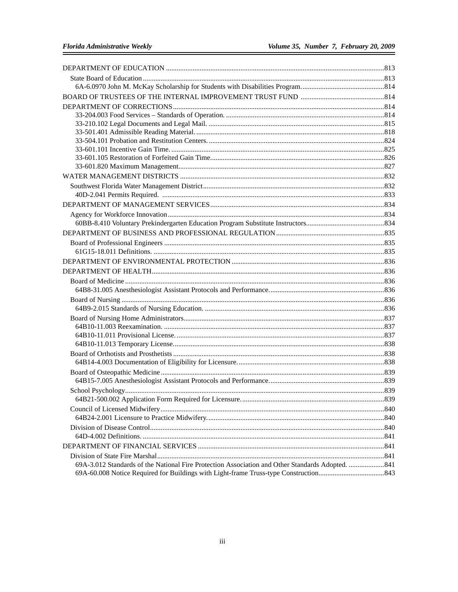| 69A-3.012 Standards of the National Fire Protection Association and Other Standards Adopted.  841 |  |
|---------------------------------------------------------------------------------------------------|--|
|                                                                                                   |  |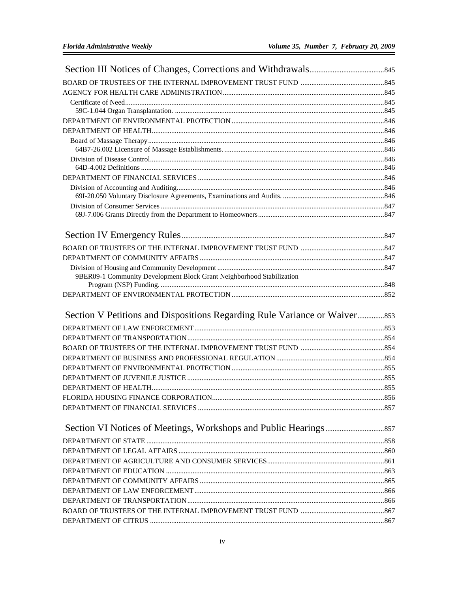| 9BER09-1 Community Development Block Grant Neighborhood Stabilization |  |
|-----------------------------------------------------------------------|--|
|                                                                       |  |
|                                                                       |  |
|                                                                       |  |
|                                                                       |  |
|                                                                       |  |
|                                                                       |  |
|                                                                       |  |
|                                                                       |  |
|                                                                       |  |
|                                                                       |  |
|                                                                       |  |
|                                                                       |  |
|                                                                       |  |
|                                                                       |  |
|                                                                       |  |
|                                                                       |  |
|                                                                       |  |
|                                                                       |  |
|                                                                       |  |
|                                                                       |  |
|                                                                       |  |
|                                                                       |  |
|                                                                       |  |
|                                                                       |  |